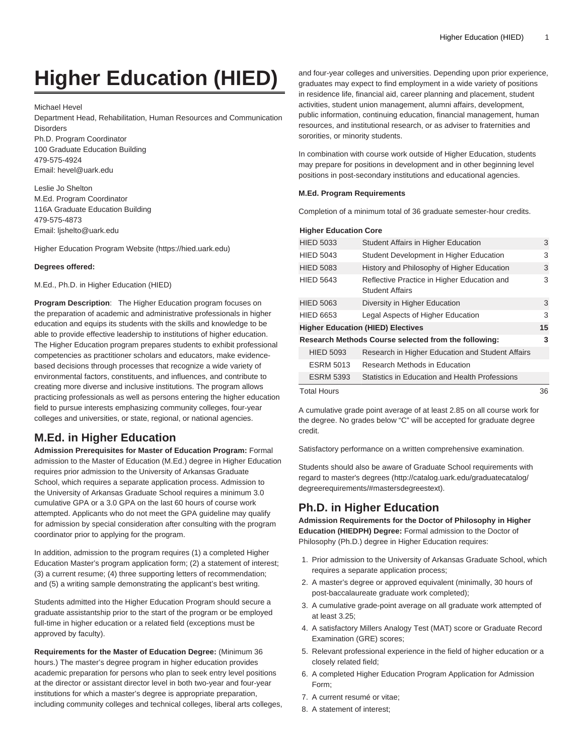# **Higher Education (HIED)**

Michael Hevel

Department Head, Rehabilitation, Human Resources and Communication **Disorders** Ph.D. Program Coordinator

100 Graduate Education Building 479-575-4924 Email: [hevel@uark.edu](mailto:hevel@uark.edu)

Leslie Jo Shelton M.Ed. Program Coordinator 116A Graduate Education Building 479-575-4873 Email: [ljshelto@uark.edu](mailto:ljshelto@uark.edu)

[Higher Education Program Website](https://hied.uark.edu) [\(https://hied.uark.edu\)](https://hied.uark.edu)

#### **Degrees offered:**

M.Ed., Ph.D. in Higher Education (HIED)

**Program Description**: The Higher Education program focuses on the preparation of academic and administrative professionals in higher education and equips its students with the skills and knowledge to be able to provide effective leadership to institutions of higher education. The Higher Education program prepares students to exhibit professional competencies as practitioner scholars and educators, make evidencebased decisions through processes that recognize a wide variety of environmental factors, constituents, and influences, and contribute to creating more diverse and inclusive institutions. The program allows practicing professionals as well as persons entering the higher education field to pursue interests emphasizing community colleges, four-year colleges and universities, or state, regional, or national agencies.

## **M.Ed. in Higher Education**

**Admission Prerequisites for Master of Education Program:** Formal admission to the Master of Education (M.Ed.) degree in Higher Education requires prior admission to the University of Arkansas Graduate School, which requires a separate application process. Admission to the University of Arkansas Graduate School requires a minimum 3.0 cumulative GPA or a 3.0 GPA on the last 60 hours of course work attempted. Applicants who do not meet the GPA guideline may qualify for admission by special consideration after consulting with the program coordinator prior to applying for the program.

In addition, admission to the program requires (1) a completed Higher Education Master's program application form; (2) a statement of interest; (3) a current resume; (4) three supporting letters of recommendation; and (5) a writing sample demonstrating the applicant's best writing.

Students admitted into the Higher Education Program should secure a graduate assistantship prior to the start of the program or be employed full-time in higher education or a related field (exceptions must be approved by faculty).

**Requirements for the Master of Education Degree:** (Minimum 36 hours.) The master's degree program in higher education provides academic preparation for persons who plan to seek entry level positions at the director or assistant director level in both two-year and four-year institutions for which a master's degree is appropriate preparation, including community colleges and technical colleges, liberal arts colleges, and four-year colleges and universities. Depending upon prior experience, graduates may expect to find employment in a wide variety of positions in residence life, financial aid, career planning and placement, student activities, student union management, alumni affairs, development, public information, continuing education, financial management, human resources, and institutional research, or as adviser to fraternities and sororities, or minority students.

In combination with course work outside of Higher Education, students may prepare for positions in development and in other beginning level positions in post-secondary institutions and educational agencies.

#### **M.Ed. Program Requirements**

Completion of a minimum total of 36 graduate semester-hour credits.

### **Higher Education Core**

| <b>HIED 5033</b>                                     | Student Affairs in Higher Education                                   | 3  |
|------------------------------------------------------|-----------------------------------------------------------------------|----|
| <b>HIED 5043</b>                                     | Student Development in Higher Education                               | 3  |
| <b>HIED 5083</b>                                     | History and Philosophy of Higher Education                            | 3  |
| <b>HIED 5643</b>                                     | Reflective Practice in Higher Education and<br><b>Student Affairs</b> | 3  |
| <b>HIED 5063</b>                                     | Diversity in Higher Education                                         | 3  |
| <b>HIED 6653</b>                                     | Legal Aspects of Higher Education                                     | 3  |
|                                                      | <b>Higher Education (HIED) Electives</b>                              | 15 |
| Research Methods Course selected from the following: |                                                                       |    |
| <b>HIED 5093</b>                                     | Research in Higher Education and Student Affairs                      |    |
| <b>ESRM 5013</b>                                     | Research Methods in Education                                         |    |
| <b>ESRM 5393</b>                                     | Statistics in Education and Health Professions                        |    |
| <b>Total Hours</b>                                   |                                                                       | 36 |

A cumulative grade point average of at least 2.85 on all course work for the degree. No grades below "C" will be accepted for graduate degree credit.

Satisfactory performance on a written comprehensive examination.

Students should also be aware of Graduate School requirements with regard to [master's degrees \(http://catalog.uark.edu/graduatecatalog/](http://catalog.uark.edu/graduatecatalog/degreerequirements/#mastersdegreestext) [degreerequirements/#mastersdegreestext\)](http://catalog.uark.edu/graduatecatalog/degreerequirements/#mastersdegreestext).

# **Ph.D. in Higher Education**

**Admission Requirements for the Doctor of Philosophy in Higher Education (HIEDPH) Degree:** Formal admission to the Doctor of Philosophy (Ph.D.) degree in Higher Education requires:

- 1. Prior admission to the University of Arkansas Graduate School, which requires a separate application process;
- 2. A master's degree or approved equivalent (minimally, 30 hours of post-baccalaureate graduate work completed);
- 3. A cumulative grade-point average on all graduate work attempted of at least 3.25;
- 4. A satisfactory Millers Analogy Test (MAT) score or Graduate Record Examination (GRE) scores;
- 5. Relevant professional experience in the field of higher education or a closely related field;
- 6. A completed Higher Education Program Application for Admission Form;
- 7. A current resumé or vitae;
- 8. A statement of interest;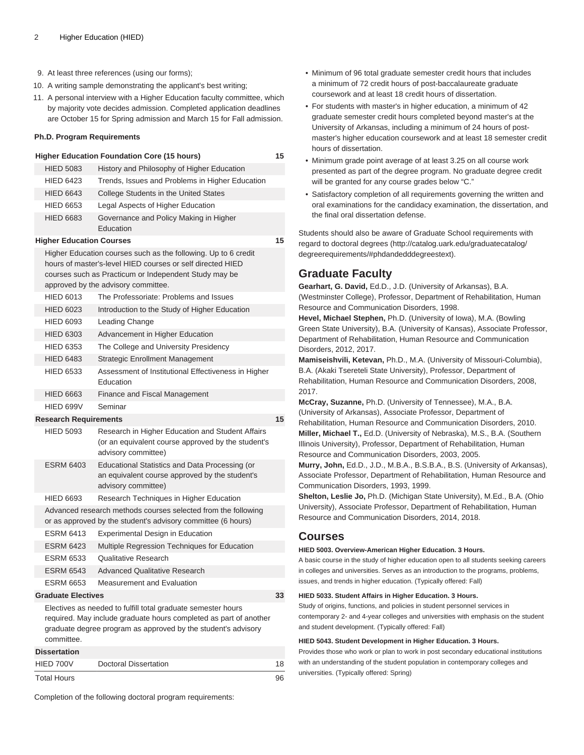- 9. At least three references (using our forms);
- 10. A writing sample demonstrating the applicant's best writing;
- 11. A personal interview with a Higher Education faculty committee, which by majority vote decides admission. Completed application deadlines are October 15 for Spring admission and March 15 for Fall admission.

#### **Ph.D. Program Requirements**

|                                                                                                                                                                                                                              | <b>Higher Education Foundation Core (15 hours)</b>                                                                             | 15 |  |
|------------------------------------------------------------------------------------------------------------------------------------------------------------------------------------------------------------------------------|--------------------------------------------------------------------------------------------------------------------------------|----|--|
| <b>HIED 5083</b>                                                                                                                                                                                                             | History and Philosophy of Higher Education                                                                                     |    |  |
| <b>HIED 6423</b>                                                                                                                                                                                                             | Trends, Issues and Problems in Higher Education                                                                                |    |  |
| <b>HIED 6643</b>                                                                                                                                                                                                             | College Students in the United States                                                                                          |    |  |
| <b>HIED 6653</b>                                                                                                                                                                                                             | Legal Aspects of Higher Education                                                                                              |    |  |
| <b>HIED 6683</b>                                                                                                                                                                                                             | Governance and Policy Making in Higher<br>Education                                                                            |    |  |
| <b>Higher Education Courses</b>                                                                                                                                                                                              |                                                                                                                                |    |  |
| Higher Education courses such as the following. Up to 6 credit<br>hours of master's-level HIED courses or self directed HIED<br>courses such as Practicum or Independent Study may be<br>approved by the advisory committee. |                                                                                                                                |    |  |
| <b>HIED 6013</b>                                                                                                                                                                                                             | The Professoriate: Problems and Issues                                                                                         |    |  |
| <b>HIED 6023</b>                                                                                                                                                                                                             | Introduction to the Study of Higher Education                                                                                  |    |  |
| <b>HIED 6093</b>                                                                                                                                                                                                             | Leading Change                                                                                                                 |    |  |
| <b>HIED 6303</b>                                                                                                                                                                                                             | Advancement in Higher Education                                                                                                |    |  |
| <b>HIED 6353</b>                                                                                                                                                                                                             | The College and University Presidency                                                                                          |    |  |
| <b>HIED 6483</b>                                                                                                                                                                                                             | <b>Strategic Enrollment Management</b>                                                                                         |    |  |
| <b>HIED 6533</b>                                                                                                                                                                                                             | Assessment of Institutional Effectiveness in Higher<br>Education                                                               |    |  |
| <b>HIED 6663</b>                                                                                                                                                                                                             | Finance and Fiscal Management                                                                                                  |    |  |
| HIED 699V                                                                                                                                                                                                                    | Seminar                                                                                                                        |    |  |
| <b>Research Requirements</b>                                                                                                                                                                                                 |                                                                                                                                | 15 |  |
| <b>HIED 5093</b>                                                                                                                                                                                                             | Research in Higher Education and Student Affairs<br>(or an equivalent course approved by the student's<br>advisory committee)  |    |  |
| <b>ESRM 6403</b>                                                                                                                                                                                                             | <b>Educational Statistics and Data Processing (or</b><br>an equivalent course approved by the student's<br>advisory committee) |    |  |
| <b>HIED 6693</b>                                                                                                                                                                                                             | Research Techniques in Higher Education                                                                                        |    |  |
| Advanced research methods courses selected from the following<br>or as approved by the student's advisory committee (6 hours)                                                                                                |                                                                                                                                |    |  |
| <b>ESRM 6413</b>                                                                                                                                                                                                             | Experimental Design in Education                                                                                               |    |  |
| <b>ESRM 6423</b>                                                                                                                                                                                                             | Multiple Regression Techniques for Education                                                                                   |    |  |
| <b>ESRM 6533</b>                                                                                                                                                                                                             | <b>Qualitative Research</b>                                                                                                    |    |  |
| <b>ESRM 6543</b>                                                                                                                                                                                                             | <b>Advanced Qualitative Research</b>                                                                                           |    |  |
| <b>ESRM 6653</b>                                                                                                                                                                                                             | Measurement and Evaluation                                                                                                     |    |  |
| <b>Graduate Electives</b>                                                                                                                                                                                                    |                                                                                                                                | 33 |  |
| Electives as needed to fulfill total graduate semester hours<br>required. May include graduate hours completed as part of another<br>graduate degree program as approved by the student's advisory<br>committee.             |                                                                                                                                |    |  |

**Dissertation**

| HIED 700V          | Doctoral Dissertation | 18 |
|--------------------|-----------------------|----|
| <b>Total Hours</b> |                       | 96 |

• Minimum of 96 total graduate semester credit hours that includes a minimum of 72 credit hours of post-baccalaureate graduate coursework and at least 18 credit hours of dissertation.

- For students with master's in higher education, a minimum of 42 graduate semester credit hours completed beyond master's at the University of Arkansas, including a minimum of 24 hours of postmaster's higher education coursework and at least 18 semester credit hours of dissertation.
- Minimum grade point average of at least 3.25 on all course work presented as part of the degree program. No graduate degree credit will be granted for any course grades below "C."
- Satisfactory completion of all requirements governing the written and oral examinations for the candidacy examination, the dissertation, and the final oral dissertation defense.

Students should also be aware of Graduate School requirements with regard to [doctoral degrees](http://catalog.uark.edu/graduatecatalog/degreerequirements/#phdandedddegreestext) ([http://catalog.uark.edu/graduatecatalog/](http://catalog.uark.edu/graduatecatalog/degreerequirements/#phdandedddegreestext) [degreerequirements/#phdandedddegreestext](http://catalog.uark.edu/graduatecatalog/degreerequirements/#phdandedddegreestext)).

# **Graduate Faculty**

**Gearhart, G. David,** Ed.D., J.D. (University of Arkansas), B.A. (Westminster College), Professor, Department of Rehabilitation, Human Resource and Communication Disorders, 1998.

**Hevel, Michael Stephen,** Ph.D. (University of Iowa), M.A. (Bowling Green State University), B.A. (University of Kansas), Associate Professor, Department of Rehabilitation, Human Resource and Communication Disorders, 2012, 2017.

**Mamiseishvili, Ketevan,** Ph.D., M.A. (University of Missouri-Columbia), B.A. (Akaki Tsereteli State University), Professor, Department of Rehabilitation, Human Resource and Communication Disorders, 2008, 2017.

**McCray, Suzanne,** Ph.D. (University of Tennessee), M.A., B.A. (University of Arkansas), Associate Professor, Department of Rehabilitation, Human Resource and Communication Disorders, 2010. **Miller, Michael T.,** Ed.D. (University of Nebraska), M.S., B.A. (Southern Illinois University), Professor, Department of Rehabilitation, Human Resource and Communication Disorders, 2003, 2005.

**Murry, John,** Ed.D., J.D., M.B.A., B.S.B.A., B.S. (University of Arkansas), Associate Professor, Department of Rehabilitation, Human Resource and Communication Disorders, 1993, 1999.

**Shelton, Leslie Jo,** Ph.D. (Michigan State University), M.Ed., B.A. (Ohio University), Associate Professor, Department of Rehabilitation, Human Resource and Communication Disorders, 2014, 2018.

# **Courses**

#### **HIED 5003. Overview-American Higher Education. 3 Hours.**

A basic course in the study of higher education open to all students seeking careers in colleges and universities. Serves as an introduction to the programs, problems, issues, and trends in higher education. (Typically offered: Fall)

#### **HIED 5033. Student Affairs in Higher Education. 3 Hours.**

Study of origins, functions, and policies in student personnel services in contemporary 2- and 4-year colleges and universities with emphasis on the student and student development. (Typically offered: Fall)

#### **HIED 5043. Student Development in Higher Education. 3 Hours.**

Provides those who work or plan to work in post secondary educational institutions with an understanding of the student population in contemporary colleges and universities. (Typically offered: Spring)

Completion of the following doctoral program requirements: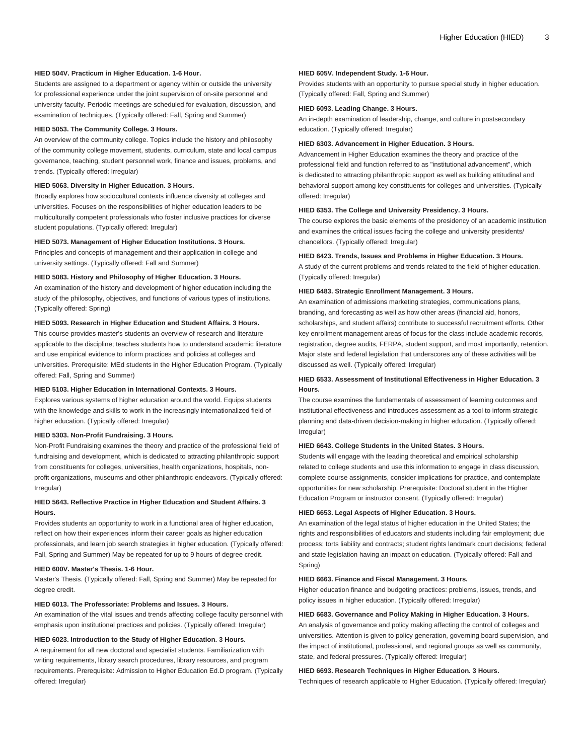#### **HIED 504V. Practicum in Higher Education. 1-6 Hour.**

Students are assigned to a department or agency within or outside the university for professional experience under the joint supervision of on-site personnel and university faculty. Periodic meetings are scheduled for evaluation, discussion, and examination of techniques. (Typically offered: Fall, Spring and Summer)

### **HIED 5053. The Community College. 3 Hours.**

An overview of the community college. Topics include the history and philosophy of the community college movement, students, curriculum, state and local campus governance, teaching, student personnel work, finance and issues, problems, and trends. (Typically offered: Irregular)

#### **HIED 5063. Diversity in Higher Education. 3 Hours.**

Broadly explores how sociocultural contexts influence diversity at colleges and universities. Focuses on the responsibilities of higher education leaders to be multiculturally competent professionals who foster inclusive practices for diverse student populations. (Typically offered: Irregular)

#### **HIED 5073. Management of Higher Education Institutions. 3 Hours.**

Principles and concepts of management and their application in college and university settings. (Typically offered: Fall and Summer)

#### **HIED 5083. History and Philosophy of Higher Education. 3 Hours.**

An examination of the history and development of higher education including the study of the philosophy, objectives, and functions of various types of institutions. (Typically offered: Spring)

#### **HIED 5093. Research in Higher Education and Student Affairs. 3 Hours.**

This course provides master's students an overview of research and literature applicable to the discipline; teaches students how to understand academic literature and use empirical evidence to inform practices and policies at colleges and universities. Prerequisite: MEd students in the Higher Education Program. (Typically offered: Fall, Spring and Summer)

#### **HIED 5103. Higher Education in International Contexts. 3 Hours.**

Explores various systems of higher education around the world. Equips students with the knowledge and skills to work in the increasingly internationalized field of higher education. (Typically offered: Irregular)

#### **HIED 5303. Non-Profit Fundraising. 3 Hours.**

Non-Profit Fundraising examines the theory and practice of the professional field of fundraising and development, which is dedicated to attracting philanthropic support from constituents for colleges, universities, health organizations, hospitals, nonprofit organizations, museums and other philanthropic endeavors. (Typically offered: Irregular)

#### **HIED 5643. Reflective Practice in Higher Education and Student Affairs. 3 Hours.**

Provides students an opportunity to work in a functional area of higher education, reflect on how their experiences inform their career goals as higher education professionals, and learn job search strategies in higher education. (Typically offered: Fall, Spring and Summer) May be repeated for up to 9 hours of degree credit.

#### **HIED 600V. Master's Thesis. 1-6 Hour.**

Master's Thesis. (Typically offered: Fall, Spring and Summer) May be repeated for degree credit.

#### **HIED 6013. The Professoriate: Problems and Issues. 3 Hours.**

An examination of the vital issues and trends affecting college faculty personnel with emphasis upon institutional practices and policies. (Typically offered: Irregular)

#### **HIED 6023. Introduction to the Study of Higher Education. 3 Hours.**

A requirement for all new doctoral and specialist students. Familiarization with writing requirements, library search procedures, library resources, and program requirements. Prerequisite: Admission to Higher Education Ed.D program. (Typically offered: Irregular)

#### **HIED 605V. Independent Study. 1-6 Hour.**

Provides students with an opportunity to pursue special study in higher education. (Typically offered: Fall, Spring and Summer)

#### **HIED 6093. Leading Change. 3 Hours.**

An in-depth examination of leadership, change, and culture in postsecondary education. (Typically offered: Irregular)

#### **HIED 6303. Advancement in Higher Education. 3 Hours.**

Advancement in Higher Education examines the theory and practice of the professional field and function referred to as "institutional advancement", which is dedicated to attracting philanthropic support as well as building attitudinal and behavioral support among key constituents for colleges and universities. (Typically offered: Irregular)

#### **HIED 6353. The College and University Presidency. 3 Hours.**

The course explores the basic elements of the presidency of an academic institution and examines the critical issues facing the college and university presidents/ chancellors. (Typically offered: Irregular)

#### **HIED 6423. Trends, Issues and Problems in Higher Education. 3 Hours.**

A study of the current problems and trends related to the field of higher education. (Typically offered: Irregular)

#### **HIED 6483. Strategic Enrollment Management. 3 Hours.**

An examination of admissions marketing strategies, communications plans, branding, and forecasting as well as how other areas (financial aid, honors, scholarships, and student affairs) contribute to successful recruitment efforts. Other key enrollment management areas of focus for the class include academic records, registration, degree audits, FERPA, student support, and most importantly, retention. Major state and federal legislation that underscores any of these activities will be discussed as well. (Typically offered: Irregular)

#### **HIED 6533. Assessment of Institutional Effectiveness in Higher Education. 3 Hours.**

The course examines the fundamentals of assessment of learning outcomes and institutional effectiveness and introduces assessment as a tool to inform strategic planning and data-driven decision-making in higher education. (Typically offered: Irregular)

#### **HIED 6643. College Students in the United States. 3 Hours.**

Students will engage with the leading theoretical and empirical scholarship related to college students and use this information to engage in class discussion, complete course assignments, consider implications for practice, and contemplate opportunities for new scholarship. Prerequisite: Doctoral student in the Higher Education Program or instructor consent. (Typically offered: Irregular)

#### **HIED 6653. Legal Aspects of Higher Education. 3 Hours.**

An examination of the legal status of higher education in the United States; the rights and responsibilities of educators and students including fair employment; due process; torts liability and contracts; student rights landmark court decisions; federal and state legislation having an impact on education. (Typically offered: Fall and Spring)

#### **HIED 6663. Finance and Fiscal Management. 3 Hours.**

Higher education finance and budgeting practices: problems, issues, trends, and policy issues in higher education. (Typically offered: Irregular)

#### **HIED 6683. Governance and Policy Making in Higher Education. 3 Hours.**

An analysis of governance and policy making affecting the control of colleges and universities. Attention is given to policy generation, governing board supervision, and the impact of institutional, professional, and regional groups as well as community, state, and federal pressures. (Typically offered: Irregular)

#### **HIED 6693. Research Techniques in Higher Education. 3 Hours.**

Techniques of research applicable to Higher Education. (Typically offered: Irregular)